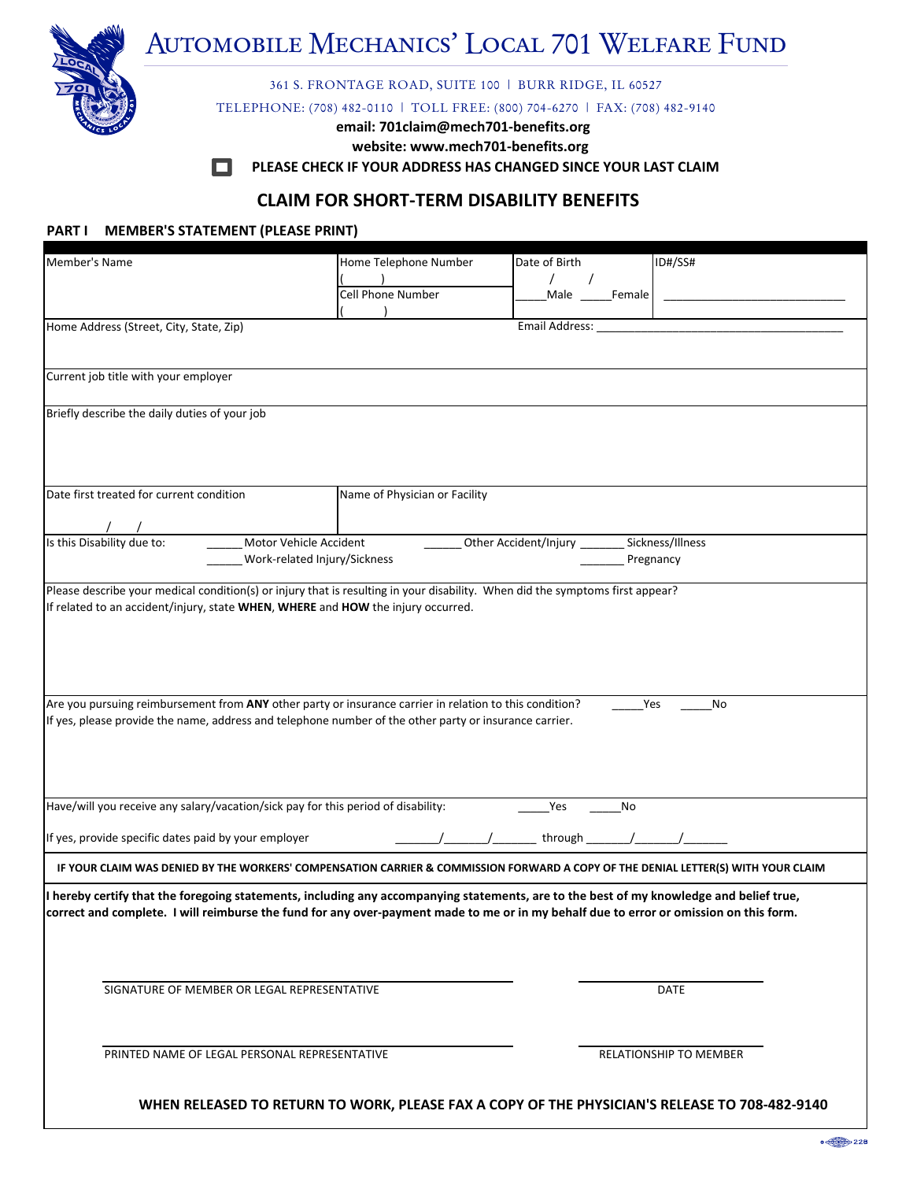# **MECHANICS' LOCAL 701 WELFARE FUND** Automobile Mechanics' Local 701 Welfare Fund

**361 S. FRONTAGE ROAD, SUITE 100 | BURR RIDGE, IL 60527** 

**PHONE (708) 482Ͳ0110 \* FAX (708) 482Ͳ9140** TELEPHONE: (708) 482-0110 | TOLL FREE: (800) 704-6270 | FAX: (708) 482-9140

**email: 701claim@mech701Ͳbenefits.org**

**website: www.mech701Ͳbenefits.org**

**PLEASE CHECK IF YOUR ADDRESS HAS CHANGED SINCE YOUR LAST CLAIM**

## **CLAIM FOR SHORTͲTERM DISABILITY BENEFITS**

#### **PART I MEMBER'S STATEMENT (PLEASE PRINT)**

| Member's Name                                                                                                                                                                                                     |                                      | Home Telephone Number         | Date of Birth                |                  | ID#/SS#                                                                                                                           |
|-------------------------------------------------------------------------------------------------------------------------------------------------------------------------------------------------------------------|--------------------------------------|-------------------------------|------------------------------|------------------|-----------------------------------------------------------------------------------------------------------------------------------|
|                                                                                                                                                                                                                   |                                      |                               | $\prime$                     |                  |                                                                                                                                   |
|                                                                                                                                                                                                                   |                                      | Cell Phone Number             |                              | Male _____Female |                                                                                                                                   |
| Home Address (Street, City, State, Zip)                                                                                                                                                                           |                                      |                               | Email Address:               |                  |                                                                                                                                   |
|                                                                                                                                                                                                                   |                                      |                               |                              |                  |                                                                                                                                   |
| Current job title with your employer                                                                                                                                                                              |                                      |                               |                              |                  |                                                                                                                                   |
| Briefly describe the daily duties of your job                                                                                                                                                                     |                                      |                               |                              |                  |                                                                                                                                   |
|                                                                                                                                                                                                                   |                                      |                               |                              |                  |                                                                                                                                   |
|                                                                                                                                                                                                                   |                                      |                               |                              |                  |                                                                                                                                   |
| Date first treated for current condition                                                                                                                                                                          |                                      | Name of Physician or Facility |                              |                  |                                                                                                                                   |
| $\frac{1}{\sqrt{15}}$ (Is this Disability due to:                                                                                                                                                                 | <u>______</u> Motor Vehicle Accident |                               |                              |                  |                                                                                                                                   |
|                                                                                                                                                                                                                   | Work-related Injury/Sickness         |                               | Other Accident/Injury ______ | Pregnancy        | Sickness/Illness                                                                                                                  |
| Please describe your medical condition(s) or injury that is resulting in your disability. When did the symptoms first appear?                                                                                     |                                      |                               |                              |                  |                                                                                                                                   |
|                                                                                                                                                                                                                   |                                      |                               |                              |                  |                                                                                                                                   |
| Are you pursuing reimbursement from ANY other party or insurance carrier in relation to this condition?<br>If yes, please provide the name, address and telephone number of the other party or insurance carrier. |                                      |                               |                              | Yes              | No                                                                                                                                |
|                                                                                                                                                                                                                   |                                      |                               |                              |                  |                                                                                                                                   |
|                                                                                                                                                                                                                   |                                      |                               |                              |                  |                                                                                                                                   |
| Have/will you receive any salary/vacation/sick pay for this period of disability:                                                                                                                                 |                                      |                               | Yes                          | No               |                                                                                                                                   |
| If yes, provide specific dates paid by your employer                                                                                                                                                              |                                      |                               | through                      |                  |                                                                                                                                   |
|                                                                                                                                                                                                                   |                                      |                               |                              |                  | IF YOUR CLAIM WAS DENIED BY THE WORKERS' COMPENSATION CARRIER & COMMISSION FORWARD A COPY OF THE DENIAL LETTER(S) WITH YOUR CLAIM |
| I hereby certify that the foregoing statements, including any accompanying statements, are to the best of my knowledge and belief true,                                                                           |                                      |                               |                              |                  |                                                                                                                                   |
| correct and complete. I will reimburse the fund for any over-payment made to me or in my behalf due to error or omission on this form.                                                                            |                                      |                               |                              |                  |                                                                                                                                   |
|                                                                                                                                                                                                                   |                                      |                               |                              |                  |                                                                                                                                   |
|                                                                                                                                                                                                                   |                                      |                               |                              |                  |                                                                                                                                   |
| SIGNATURE OF MEMBER OR LEGAL REPRESENTATIVE                                                                                                                                                                       |                                      |                               |                              |                  | <b>DATE</b>                                                                                                                       |
|                                                                                                                                                                                                                   |                                      |                               |                              |                  |                                                                                                                                   |
| PRINTED NAME OF LEGAL PERSONAL REPRESENTATIVE                                                                                                                                                                     |                                      |                               |                              |                  | <b>RELATIONSHIP TO MEMBER</b>                                                                                                     |
|                                                                                                                                                                                                                   |                                      |                               |                              |                  |                                                                                                                                   |
|                                                                                                                                                                                                                   |                                      |                               |                              |                  | WHEN RELEASED TO RETURN TO WORK, PLEASE FAX A COPY OF THE PHYSICIAN'S RELEASE TO 708-482-9140                                     |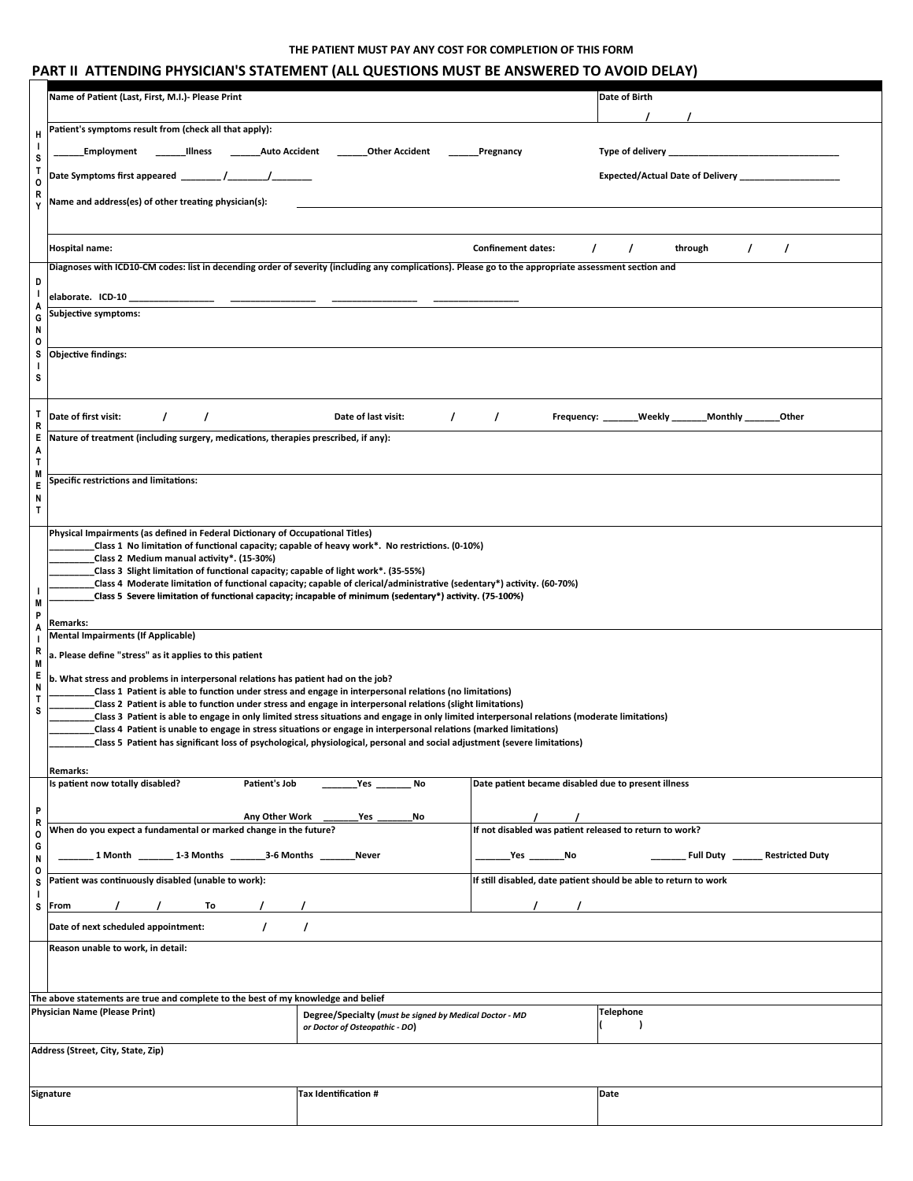#### THE PATIENT MUST PAY ANY COST FOR COMPLETION OF THIS FORM

|                        | PART II ATTENDING PHYSICIAN'S STATEMENT (ALL QUESTIONS MUST BE ANSWERED TO AVOID DELAY)                                                                                                                                                                      |                                                                                           |                                                                                     |                                                                  |  |  |  |
|------------------------|--------------------------------------------------------------------------------------------------------------------------------------------------------------------------------------------------------------------------------------------------------------|-------------------------------------------------------------------------------------------|-------------------------------------------------------------------------------------|------------------------------------------------------------------|--|--|--|
|                        | Name of Patient (Last, First, M.I.)- Please Print                                                                                                                                                                                                            |                                                                                           |                                                                                     | Date of Birth                                                    |  |  |  |
|                        | Patient's symptoms result from (check all that apply):                                                                                                                                                                                                       |                                                                                           |                                                                                     |                                                                  |  |  |  |
| Н<br>T                 | <b>Auto Accident</b><br>Illness<br>Employment                                                                                                                                                                                                                | <b>Other Accident</b>                                                                     | Pregnancy                                                                           | Type of delivery _                                               |  |  |  |
| S<br>$\mathsf{T}$      | Date Symptoms first appeared _                                                                                                                                                                                                                               |                                                                                           |                                                                                     | Expected/Actual Date of Delivery _                               |  |  |  |
| 0<br>R<br>Y            | Name and address(es) of other treating physician(s):                                                                                                                                                                                                         |                                                                                           |                                                                                     |                                                                  |  |  |  |
|                        |                                                                                                                                                                                                                                                              |                                                                                           |                                                                                     |                                                                  |  |  |  |
|                        | <b>Hospital name:</b>                                                                                                                                                                                                                                        |                                                                                           | <b>Confinement dates:</b>                                                           | through<br>$\prime$<br>$\prime$                                  |  |  |  |
|                        | Diagnoses with ICD10-CM codes: list in decending order of severity (including any complications). Please go to the appropriate assessment section and                                                                                                        |                                                                                           |                                                                                     |                                                                  |  |  |  |
| D<br>T                 | elaborate. ICD-10                                                                                                                                                                                                                                            |                                                                                           |                                                                                     |                                                                  |  |  |  |
| A<br>G                 | <b>Subjective symptoms:</b>                                                                                                                                                                                                                                  |                                                                                           |                                                                                     |                                                                  |  |  |  |
| N<br>0                 |                                                                                                                                                                                                                                                              |                                                                                           |                                                                                     |                                                                  |  |  |  |
| s<br>$\mathbf{I}$      | <b>Objective findings:</b>                                                                                                                                                                                                                                   |                                                                                           |                                                                                     |                                                                  |  |  |  |
| s                      |                                                                                                                                                                                                                                                              |                                                                                           |                                                                                     |                                                                  |  |  |  |
| Т<br>R                 | Date of first visit:<br>$\prime$<br>$\prime$                                                                                                                                                                                                                 | Date of last visit:<br>$\prime$                                                           | $\prime$<br>Frequency: _                                                            | Weekly<br><b>Monthly</b><br>Other                                |  |  |  |
| Ε<br>A<br>$\mathsf{T}$ | Nature of treatment (including surgery, medications, therapies prescribed, if any):                                                                                                                                                                          |                                                                                           |                                                                                     |                                                                  |  |  |  |
| M<br>E                 | <b>Specific restrictions and limitations:</b>                                                                                                                                                                                                                |                                                                                           |                                                                                     |                                                                  |  |  |  |
| N<br>T                 |                                                                                                                                                                                                                                                              |                                                                                           |                                                                                     |                                                                  |  |  |  |
|                        | Physical Impairments (as defined in Federal Dictionary of Occupational Titles)                                                                                                                                                                               |                                                                                           |                                                                                     |                                                                  |  |  |  |
|                        | Class 1 No limitation of functional capacity; capable of heavy work*. No restrictions. (0-10%)<br>Class 2 Medium manual activity*. (15-30%)                                                                                                                  |                                                                                           |                                                                                     |                                                                  |  |  |  |
| T                      | Class 3 Slight limitation of functional capacity; capable of light work*. (35-55%)<br>Class 4 Moderate limitation of functional capacity; capable of clerical/administrative (sedentary*) activity. (60-70%)                                                 |                                                                                           |                                                                                     |                                                                  |  |  |  |
| M<br>P                 | Class 5 Severe limitation of functional capacity; incapable of minimum (sedentary*) activity. (75-100%)                                                                                                                                                      |                                                                                           |                                                                                     |                                                                  |  |  |  |
| A<br>H                 | Remarks:<br><b>Mental Impairments (If Applicable)</b>                                                                                                                                                                                                        |                                                                                           |                                                                                     |                                                                  |  |  |  |
| R<br>M                 | a. Please define "stress" as it applies to this patient                                                                                                                                                                                                      |                                                                                           |                                                                                     |                                                                  |  |  |  |
| Е<br>N                 | b. What stress and problems in interpersonal relations has patient had on the job?<br>Class 1 Patient is able to function under stress and engage in interpersonal relations (no limitations)                                                                |                                                                                           |                                                                                     |                                                                  |  |  |  |
| T<br>s                 | Class 2 Patient is able to function under stress and engage in interpersonal relations (slight limitations)<br>Class 3 Patient is able to engage in only limited stress situations and engage in only limited interpersonal relations (moderate limitations) |                                                                                           |                                                                                     |                                                                  |  |  |  |
|                        | Class 4 Patient is unable to engage in stress situations or engage in interpersonal relations (marked limitations)                                                                                                                                           |                                                                                           |                                                                                     |                                                                  |  |  |  |
|                        | Class 5 Patient has significant loss of psychological, physiological, personal and social adjustment (severe limitations)                                                                                                                                    |                                                                                           |                                                                                     |                                                                  |  |  |  |
|                        | Remarks:<br>Is patient now totally disabled?<br>Patient's Job                                                                                                                                                                                                | Yes<br>No                                                                                 | Date patient became disabled due to present illness                                 |                                                                  |  |  |  |
| P                      | Any Other Work                                                                                                                                                                                                                                               | No                                                                                        |                                                                                     |                                                                  |  |  |  |
| R<br>0                 | When do you expect a fundamental or marked change in the future?                                                                                                                                                                                             | Yes                                                                                       | $\overline{\phantom{a}}$<br>If not disabled was patient released to return to work? |                                                                  |  |  |  |
| G<br>N                 | _ 1 Month _______ 1-3 Months _______3-6 Months _____                                                                                                                                                                                                         | Never                                                                                     | _Yes __________No                                                                   | Full Duty _____<br><b>Restricted Duty</b>                        |  |  |  |
| 0<br>S                 | Patient was continuously disabled (unable to work):                                                                                                                                                                                                          |                                                                                           |                                                                                     | If still disabled, date patient should be able to return to work |  |  |  |
| -1<br>s                | To the set of the set of the set of the set of the set of the set of the set of the set of the set of the set o<br>From                                                                                                                                      |                                                                                           |                                                                                     |                                                                  |  |  |  |
|                        | Date of next scheduled appointment:                                                                                                                                                                                                                          | $\prime$                                                                                  |                                                                                     |                                                                  |  |  |  |
|                        | Reason unable to work, in detail:                                                                                                                                                                                                                            |                                                                                           |                                                                                     |                                                                  |  |  |  |
|                        |                                                                                                                                                                                                                                                              |                                                                                           |                                                                                     |                                                                  |  |  |  |
|                        | The above statements are true and complete to the best of my knowledge and belief<br><b>Physician Name (Please Print)</b>                                                                                                                                    |                                                                                           |                                                                                     | <b>Telephone</b>                                                 |  |  |  |
|                        |                                                                                                                                                                                                                                                              | Degree/Specialty (must be signed by Medical Doctor - MD<br>or Doctor of Osteopathic - DO) |                                                                                     | $\lambda$                                                        |  |  |  |
|                        | Address (Street, City, State, Zip)                                                                                                                                                                                                                           |                                                                                           |                                                                                     |                                                                  |  |  |  |
|                        |                                                                                                                                                                                                                                                              |                                                                                           |                                                                                     |                                                                  |  |  |  |
|                        | Signature                                                                                                                                                                                                                                                    | Tax Identification #                                                                      |                                                                                     | Date                                                             |  |  |  |
|                        |                                                                                                                                                                                                                                                              |                                                                                           |                                                                                     |                                                                  |  |  |  |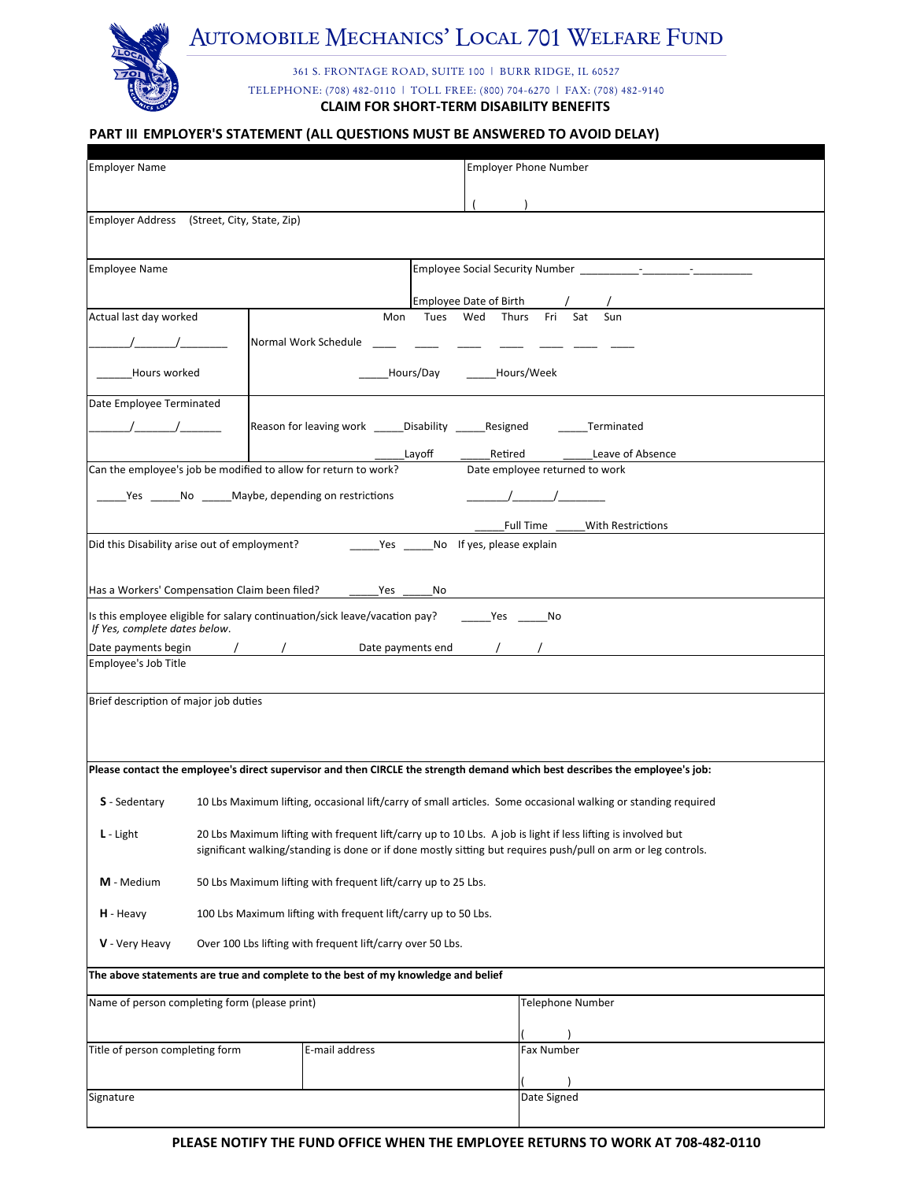

# AUTOMOBILE MECHANICS' LOCAL 701 WELFARE FUND

361 S. FRONTAGE ROAD, SUITE 100 | BURR RIDGE, IL 60527 TELEPHONE: (708) 482-0110 | TOLL FREE: (800) 704-6270 | FAX: (708) 482-9140 **CLAIM FOR SHORT-TERM DISABILITY BENEFITS** 

#### PART III EMPLOYER'S STATEMENT (ALL QUESTIONS MUST BE ANSWERED TO AVOID DELAY)

| <b>Employer Name</b>                                                        |                                                                                                              |                                                                                   | <b>Employer Phone Number</b>                                                                                                 |  |  |
|-----------------------------------------------------------------------------|--------------------------------------------------------------------------------------------------------------|-----------------------------------------------------------------------------------|------------------------------------------------------------------------------------------------------------------------------|--|--|
|                                                                             |                                                                                                              |                                                                                   |                                                                                                                              |  |  |
|                                                                             | Employer Address (Street, City, State, Zip)                                                                  |                                                                                   |                                                                                                                              |  |  |
|                                                                             |                                                                                                              |                                                                                   |                                                                                                                              |  |  |
| <b>Employee Name</b>                                                        |                                                                                                              |                                                                                   |                                                                                                                              |  |  |
|                                                                             |                                                                                                              |                                                                                   |                                                                                                                              |  |  |
| Actual last day worked                                                      |                                                                                                              | Mon                                                                               | <b>Employee Date of Birth</b><br>Sat<br>Sun<br>Tues<br>Wed<br>Thurs<br>Fri                                                   |  |  |
| $\frac{1}{1}$                                                               |                                                                                                              | Normal Work Schedule                                                              |                                                                                                                              |  |  |
| Hours worked                                                                |                                                                                                              |                                                                                   | Hours/Day<br>Hours/Week                                                                                                      |  |  |
| Date Employee Terminated                                                    |                                                                                                              |                                                                                   |                                                                                                                              |  |  |
|                                                                             |                                                                                                              |                                                                                   | Reason for leaving work _____Disability ______Resigned _______Terminated                                                     |  |  |
|                                                                             |                                                                                                              |                                                                                   | Layoff<br>Retired<br>Leave of Absence                                                                                        |  |  |
|                                                                             | Can the employee's job be modified to allow for return to work?                                              |                                                                                   | Date employee returned to work                                                                                               |  |  |
|                                                                             | Yes _______ No _______ Maybe, depending on restrictions                                                      |                                                                                   |                                                                                                                              |  |  |
|                                                                             |                                                                                                              |                                                                                   | Full Time<br>With Restrictions                                                                                               |  |  |
|                                                                             | Did this Disability arise out of employment?                                                                 |                                                                                   | Yes No If yes, please explain                                                                                                |  |  |
|                                                                             | Has a Workers' Compensation Claim been filed?                                                                | No Mesang No                                                                      |                                                                                                                              |  |  |
| If Yes, complete dates below.                                               |                                                                                                              |                                                                                   | Is this employee eligible for salary continuation/sick leave/vacation pay? _______ Yes ______ No                             |  |  |
| Date payments begin                                                         |                                                                                                              |                                                                                   | and the United States of the Date payments end the state of the state of the United States of the United States              |  |  |
| Employee's Job Title                                                        |                                                                                                              |                                                                                   |                                                                                                                              |  |  |
| Brief description of major job duties                                       |                                                                                                              |                                                                                   |                                                                                                                              |  |  |
|                                                                             |                                                                                                              |                                                                                   |                                                                                                                              |  |  |
|                                                                             |                                                                                                              |                                                                                   |                                                                                                                              |  |  |
|                                                                             |                                                                                                              |                                                                                   | Please contact the employee's direct supervisor and then CIRCLE the strength demand which best describes the employee's job: |  |  |
| S - Sedentary                                                               |                                                                                                              |                                                                                   | 10 Lbs Maximum lifting, occasional lift/carry of small articles. Some occasional walking or standing required                |  |  |
| $L$ - Light                                                                 | 20 Lbs Maximum lifting with frequent lift/carry up to 10 Lbs. A job is light if less lifting is involved but |                                                                                   |                                                                                                                              |  |  |
|                                                                             |                                                                                                              |                                                                                   | significant walking/standing is done or if done mostly sitting but requires push/pull on arm or leg controls.                |  |  |
| M - Medium                                                                  | 50 Lbs Maximum lifting with frequent lift/carry up to 25 Lbs.                                                |                                                                                   |                                                                                                                              |  |  |
| 100 Lbs Maximum lifting with frequent lift/carry up to 50 Lbs.<br>H - Heavy |                                                                                                              |                                                                                   |                                                                                                                              |  |  |
| V - Very Heavy                                                              |                                                                                                              | Over 100 Lbs lifting with frequent lift/carry over 50 Lbs.                        |                                                                                                                              |  |  |
|                                                                             |                                                                                                              | The above statements are true and complete to the best of my knowledge and belief |                                                                                                                              |  |  |
|                                                                             | Name of person completing form (please print)                                                                |                                                                                   | <b>Telephone Number</b>                                                                                                      |  |  |
|                                                                             |                                                                                                              |                                                                                   |                                                                                                                              |  |  |
| Title of person completing form                                             |                                                                                                              | E-mail address                                                                    | Fax Number                                                                                                                   |  |  |
|                                                                             |                                                                                                              |                                                                                   |                                                                                                                              |  |  |
| Signature                                                                   |                                                                                                              |                                                                                   | Date Signed                                                                                                                  |  |  |
|                                                                             |                                                                                                              |                                                                                   |                                                                                                                              |  |  |

#### PLEASE NOTIFY THE FUND OFFICE WHEN THE EMPLOYEE RETURNS TO WORK AT 708-482-0110